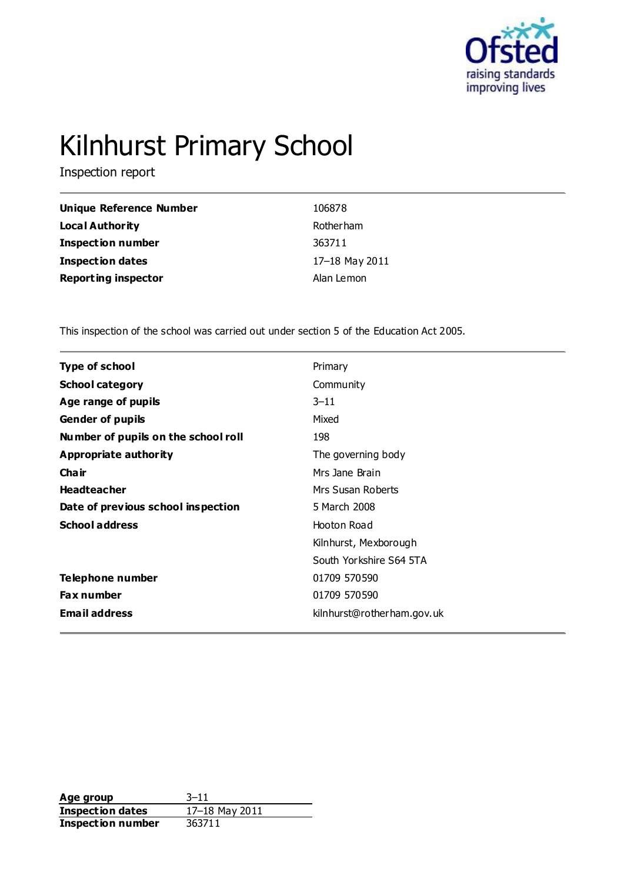

# Kilnhurst Primary School

Inspection report

| Unique Reference Number    | 106878           |
|----------------------------|------------------|
| <b>Local Authority</b>     | <b>Rotherham</b> |
| <b>Inspection number</b>   | 363711           |
| <b>Inspection dates</b>    | 17-18 May 2011   |
| <b>Reporting inspector</b> | Alan Lemon       |

This inspection of the school was carried out under section 5 of the Education Act 2005.

| Type of school                      | Primary                    |  |
|-------------------------------------|----------------------------|--|
| <b>School category</b>              | Community                  |  |
| Age range of pupils                 | $3 - 11$                   |  |
| <b>Gender of pupils</b>             | Mixed                      |  |
| Number of pupils on the school roll | 198                        |  |
| Appropriate authority               | The governing body         |  |
| Cha ir                              | Mrs Jane Brain             |  |
| <b>Headteacher</b>                  | Mrs Susan Roberts          |  |
| Date of previous school inspection  | 5 March 2008               |  |
| <b>School address</b>               | Hooton Road                |  |
|                                     | Kilnhurst, Mexborough      |  |
|                                     | South Yorkshire S64 5TA    |  |
| Telephone number                    | 01709 570590               |  |
| <b>Fax number</b>                   | 01709 570590               |  |
| <b>Email address</b>                | kilnhurst@rotherham.gov.uk |  |
|                                     |                            |  |

**Age group** 3–11<br> **Inspection dates** 17–18 May 2011 **Inspection dates Inspection number** 363711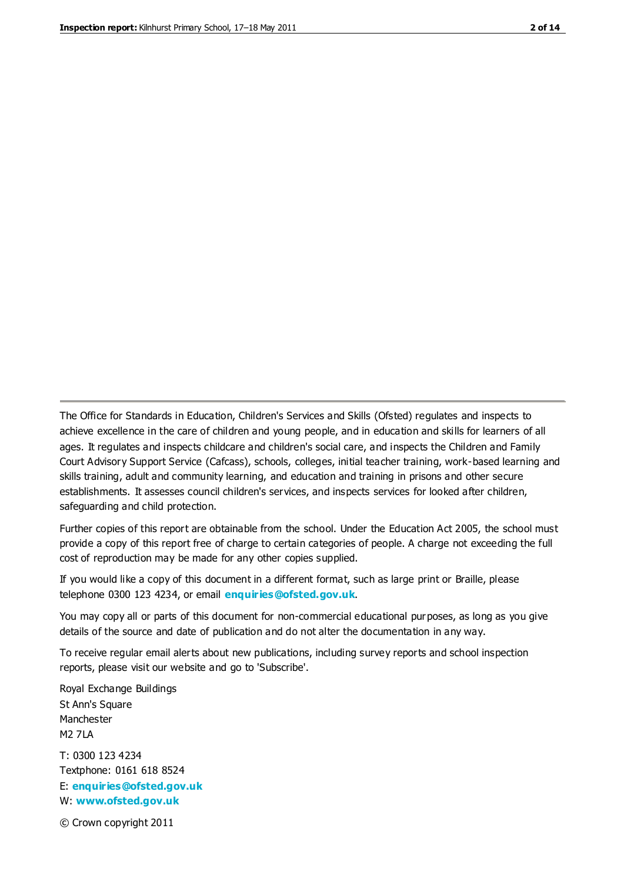The Office for Standards in Education, Children's Services and Skills (Ofsted) regulates and inspects to achieve excellence in the care of children and young people, and in education and skills for learners of all ages. It regulates and inspects childcare and children's social care, and inspects the Children and Family Court Advisory Support Service (Cafcass), schools, colleges, initial teacher training, work-based learning and skills training, adult and community learning, and education and training in prisons and other secure establishments. It assesses council children's services, and inspects services for looked after children, safeguarding and child protection.

Further copies of this report are obtainable from the school. Under the Education Act 2005, the school must provide a copy of this report free of charge to certain categories of people. A charge not exceeding the full cost of reproduction may be made for any other copies supplied.

If you would like a copy of this document in a different format, such as large print or Braille, please telephone 0300 123 4234, or email **[enquiries@ofsted.gov.uk](mailto:enquiries@ofsted.gov.uk)**.

You may copy all or parts of this document for non-commercial educational purposes, as long as you give details of the source and date of publication and do not alter the documentation in any way.

To receive regular email alerts about new publications, including survey reports and school inspection reports, please visit our website and go to 'Subscribe'.

Royal Exchange Buildings St Ann's Square Manchester M2 7LA T: 0300 123 4234 Textphone: 0161 618 8524 E: **[enquiries@ofsted.gov.uk](mailto:enquiries@ofsted.gov.uk)**

W: **[www.ofsted.gov.uk](http://www.ofsted.gov.uk/)**

© Crown copyright 2011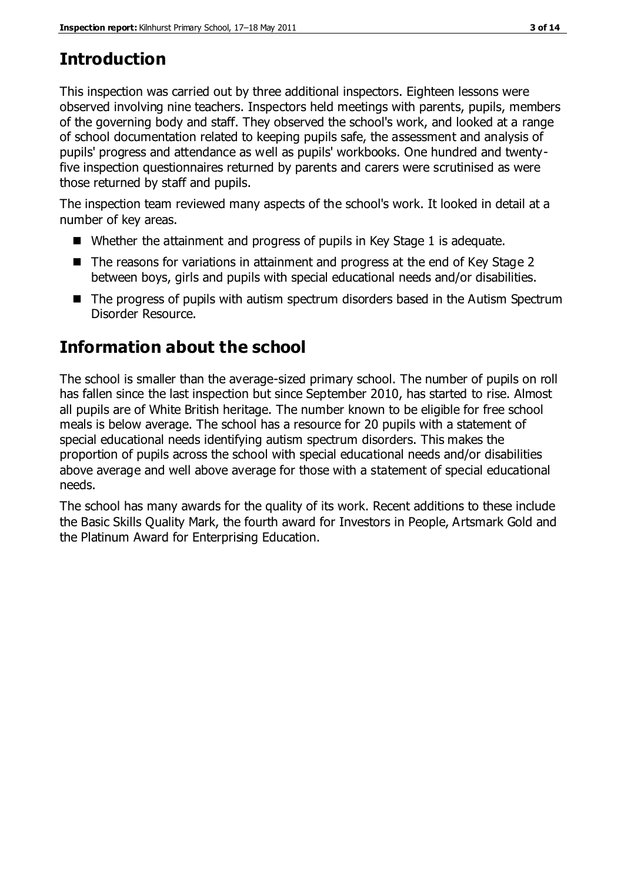# **Introduction**

This inspection was carried out by three additional inspectors. Eighteen lessons were observed involving nine teachers. Inspectors held meetings with parents, pupils, members of the governing body and staff. They observed the school's work, and looked at a range of school documentation related to keeping pupils safe, the assessment and analysis of pupils' progress and attendance as well as pupils' workbooks. One hundred and twentyfive inspection questionnaires returned by parents and carers were scrutinised as were those returned by staff and pupils.

The inspection team reviewed many aspects of the school's work. It looked in detail at a number of key areas.

- Whether the attainment and progress of pupils in Key Stage 1 is adequate.
- The reasons for variations in attainment and progress at the end of Key Stage 2 between boys, girls and pupils with special educational needs and/or disabilities.
- The progress of pupils with autism spectrum disorders based in the Autism Spectrum Disorder Resource.

# **Information about the school**

The school is smaller than the average-sized primary school. The number of pupils on roll has fallen since the last inspection but since September 2010, has started to rise. Almost all pupils are of White British heritage. The number known to be eligible for free school meals is below average. The school has a resource for 20 pupils with a statement of special educational needs identifying autism spectrum disorders. This makes the proportion of pupils across the school with special educational needs and/or disabilities above average and well above average for those with a statement of special educational needs.

The school has many awards for the quality of its work. Recent additions to these include the Basic Skills Quality Mark, the fourth award for Investors in People, Artsmark Gold and the Platinum Award for Enterprising Education.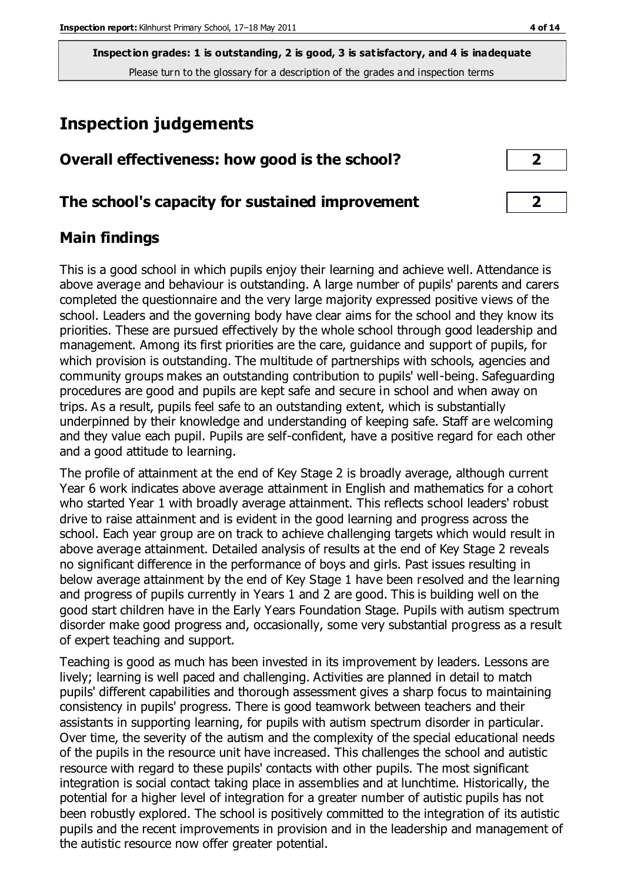# **Inspection judgements**

| Overall effectiveness: how good is the school? |  |
|------------------------------------------------|--|
|------------------------------------------------|--|

# **The school's capacity for sustained improvement 2**

# **Main findings**

This is a good school in which pupils enjoy their learning and achieve well. Attendance is above average and behaviour is outstanding. A large number of pupils' parents and carers completed the questionnaire and the very large majority expressed positive views of the school. Leaders and the governing body have clear aims for the school and they know its priorities. These are pursued effectively by the whole school through good leadership and management. Among its first priorities are the care, guidance and support of pupils, for which provision is outstanding. The multitude of partnerships with schools, agencies and community groups makes an outstanding contribution to pupils' well-being. Safeguarding procedures are good and pupils are kept safe and secure in school and when away on trips. As a result, pupils feel safe to an outstanding extent, which is substantially underpinned by their knowledge and understanding of keeping safe. Staff are welcoming and they value each pupil. Pupils are self-confident, have a positive regard for each other and a good attitude to learning.

The profile of attainment at the end of Key Stage 2 is broadly average, although current Year 6 work indicates above average attainment in English and mathematics for a cohort who started Year 1 with broadly average attainment. This reflects school leaders' robust drive to raise attainment and is evident in the good learning and progress across the school. Each year group are on track to achieve challenging targets which would result in above average attainment. Detailed analysis of results at the end of Key Stage 2 reveals no significant difference in the performance of boys and girls. Past issues resulting in below average attainment by the end of Key Stage 1 have been resolved and the learning and progress of pupils currently in Years 1 and 2 are good. This is building well on the good start children have in the Early Years Foundation Stage. Pupils with autism spectrum disorder make good progress and, occasionally, some very substantial progress as a result of expert teaching and support.

Teaching is good as much has been invested in its improvement by leaders. Lessons are lively; learning is well paced and challenging. Activities are planned in detail to match pupils' different capabilities and thorough assessment gives a sharp focus to maintaining consistency in pupils' progress. There is good teamwork between teachers and their assistants in supporting learning, for pupils with autism spectrum disorder in particular. Over time, the severity of the autism and the complexity of the special educational needs of the pupils in the resource unit have increased. This challenges the school and autistic resource with regard to these pupils' contacts with other pupils. The most significant integration is social contact taking place in assemblies and at lunchtime. Historically, the potential for a higher level of integration for a greater number of autistic pupils has not been robustly explored. The school is positively committed to the integration of its autistic pupils and the recent improvements in provision and in the leadership and management of the autistic resource now offer greater potential.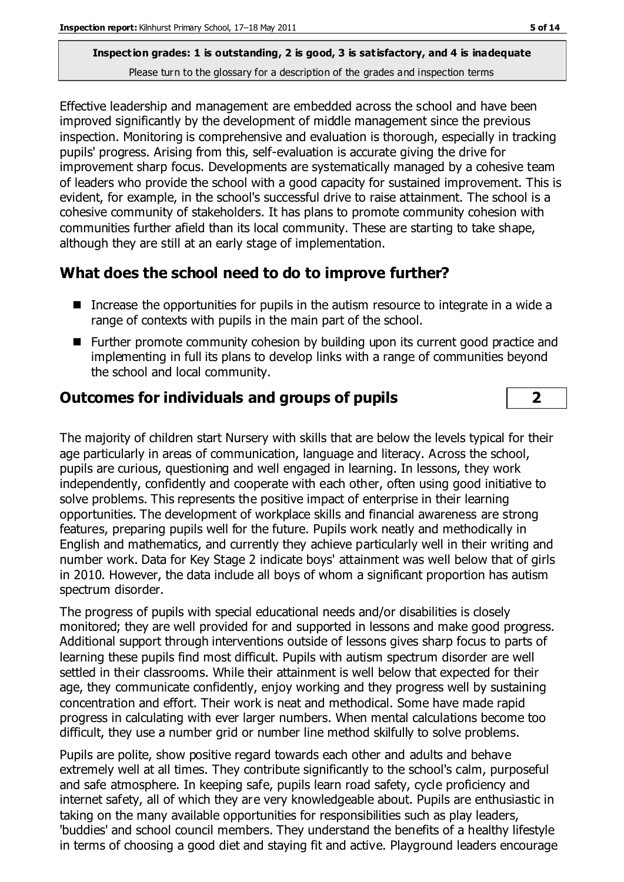Effective leadership and management are embedded across the school and have been improved significantly by the development of middle management since the previous inspection. Monitoring is comprehensive and evaluation is thorough, especially in tracking pupils' progress. Arising from this, self-evaluation is accurate giving the drive for improvement sharp focus. Developments are systematically managed by a cohesive team of leaders who provide the school with a good capacity for sustained improvement. This is evident, for example, in the school's successful drive to raise attainment. The school is a cohesive community of stakeholders. It has plans to promote community cohesion with communities further afield than its local community. These are starting to take shape, although they are still at an early stage of implementation.

# **What does the school need to do to improve further?**

- Increase the opportunities for pupils in the autism resource to integrate in a wide a range of contexts with pupils in the main part of the school.
- Further promote community cohesion by building upon its current good practice and implementing in full its plans to develop links with a range of communities beyond the school and local community.

# **Outcomes for individuals and groups of pupils 2**

The majority of children start Nursery with skills that are below the levels typical for their age particularly in areas of communication, language and literacy. Across the school, pupils are curious, questioning and well engaged in learning. In lessons, they work independently, confidently and cooperate with each other, often using good initiative to solve problems. This represents the positive impact of enterprise in their learning opportunities. The development of workplace skills and financial awareness are strong features, preparing pupils well for the future. Pupils work neatly and methodically in English and mathematics, and currently they achieve particularly well in their writing and number work. Data for Key Stage 2 indicate boys' attainment was well below that of girls in 2010. However, the data include all boys of whom a significant proportion has autism spectrum disorder.

The progress of pupils with special educational needs and/or disabilities is closely monitored; they are well provided for and supported in lessons and make good progress. Additional support through interventions outside of lessons gives sharp focus to parts of learning these pupils find most difficult. Pupils with autism spectrum disorder are well settled in their classrooms. While their attainment is well below that expected for their age, they communicate confidently, enjoy working and they progress well by sustaining concentration and effort. Their work is neat and methodical. Some have made rapid progress in calculating with ever larger numbers. When mental calculations become too difficult, they use a number grid or number line method skilfully to solve problems.

Pupils are polite, show positive regard towards each other and adults and behave extremely well at all times. They contribute significantly to the school's calm, purposeful and safe atmosphere. In keeping safe, pupils learn road safety, cycle proficiency and internet safety, all of which they are very knowledgeable about. Pupils are enthusiastic in taking on the many available opportunities for responsibilities such as play leaders, 'buddies' and school council members. They understand the benefits of a healthy lifestyle in terms of choosing a good diet and staying fit and active. Playground leaders encourage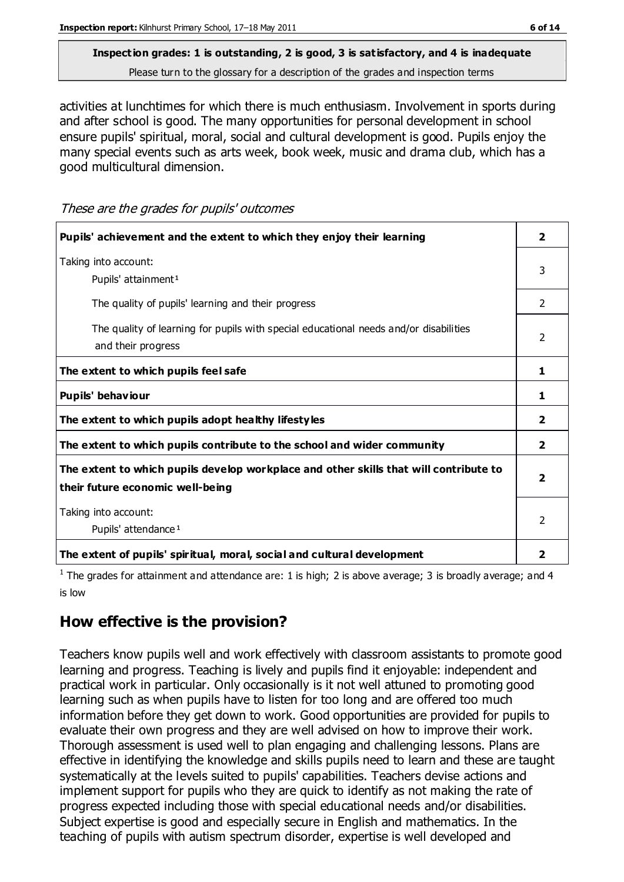# **Inspection grades: 1 is outstanding, 2 is good, 3 is satisfactory, and 4 is inadequate**

Please turn to the glossary for a description of the grades and inspection terms

activities at lunchtimes for which there is much enthusiasm. Involvement in sports during and after school is good. The many opportunities for personal development in school ensure pupils' spiritual, moral, social and cultural development is good. Pupils enjoy the many special events such as arts week, book week, music and drama club, which has a good multicultural dimension.

These are the grades for pupils' outcomes

| Pupils' achievement and the extent to which they enjoy their learning                                                     | $\overline{2}$          |
|---------------------------------------------------------------------------------------------------------------------------|-------------------------|
| Taking into account:<br>Pupils' attainment <sup>1</sup>                                                                   | 3                       |
| The quality of pupils' learning and their progress                                                                        | $\mathcal{P}$           |
| The quality of learning for pupils with special educational needs and/or disabilities<br>and their progress               | $\mathcal{P}$           |
| The extent to which pupils feel safe                                                                                      | 1                       |
| Pupils' behaviour                                                                                                         | 1                       |
| The extent to which pupils adopt healthy lifestyles                                                                       | $\mathbf{2}$            |
| The extent to which pupils contribute to the school and wider community                                                   | $\overline{2}$          |
| The extent to which pupils develop workplace and other skills that will contribute to<br>their future economic well-being | $\overline{\mathbf{2}}$ |
| Taking into account:<br>Pupils' attendance <sup>1</sup>                                                                   | 2                       |
| The extent of pupils' spiritual, moral, social and cultural development                                                   | 2                       |

<sup>1</sup> The grades for attainment and attendance are: 1 is high; 2 is above average; 3 is broadly average; and 4 is low

# **How effective is the provision?**

Teachers know pupils well and work effectively with classroom assistants to promote good learning and progress. Teaching is lively and pupils find it enjoyable: independent and practical work in particular. Only occasionally is it not well attuned to promoting good learning such as when pupils have to listen for too long and are offered too much information before they get down to work. Good opportunities are provided for pupils to evaluate their own progress and they are well advised on how to improve their work. Thorough assessment is used well to plan engaging and challenging lessons. Plans are effective in identifying the knowledge and skills pupils need to learn and these are taught systematically at the levels suited to pupils' capabilities. Teachers devise actions and implement support for pupils who they are quick to identify as not making the rate of progress expected including those with special educational needs and/or disabilities. Subject expertise is good and especially secure in English and mathematics. In the teaching of pupils with autism spectrum disorder, expertise is well developed and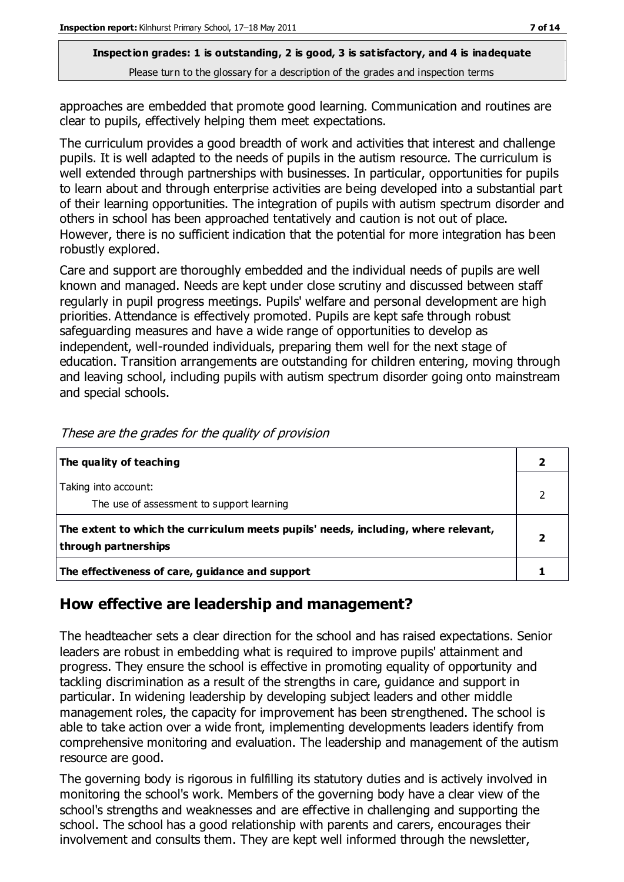approaches are embedded that promote good learning. Communication and routines are clear to pupils, effectively helping them meet expectations.

The curriculum provides a good breadth of work and activities that interest and challenge pupils. It is well adapted to the needs of pupils in the autism resource. The curriculum is well extended through partnerships with businesses. In particular, opportunities for pupils to learn about and through enterprise activities are being developed into a substantial part of their learning opportunities. The integration of pupils with autism spectrum disorder and others in school has been approached tentatively and caution is not out of place. However, there is no sufficient indication that the potential for more integration has been robustly explored.

Care and support are thoroughly embedded and the individual needs of pupils are well known and managed. Needs are kept under close scrutiny and discussed between staff regularly in pupil progress meetings. Pupils' welfare and personal development are high priorities. Attendance is effectively promoted. Pupils are kept safe through robust safeguarding measures and have a wide range of opportunities to develop as independent, well-rounded individuals, preparing them well for the next stage of education. Transition arrangements are outstanding for children entering, moving through and leaving school, including pupils with autism spectrum disorder going onto mainstream and special schools.

| The quality of teaching                                                                                    |  |
|------------------------------------------------------------------------------------------------------------|--|
| Taking into account:<br>The use of assessment to support learning                                          |  |
| The extent to which the curriculum meets pupils' needs, including, where relevant,<br>through partnerships |  |
| The effectiveness of care, guidance and support                                                            |  |

These are the grades for the quality of provision

# **How effective are leadership and management?**

The headteacher sets a clear direction for the school and has raised expectations. Senior leaders are robust in embedding what is required to improve pupils' attainment and progress. They ensure the school is effective in promoting equality of opportunity and tackling discrimination as a result of the strengths in care, guidance and support in particular. In widening leadership by developing subject leaders and other middle management roles, the capacity for improvement has been strengthened. The school is able to take action over a wide front, implementing developments leaders identify from comprehensive monitoring and evaluation. The leadership and management of the autism resource are good.

The governing body is rigorous in fulfilling its statutory duties and is actively involved in monitoring the school's work. Members of the governing body have a clear view of the school's strengths and weaknesses and are effective in challenging and supporting the school. The school has a good relationship with parents and carers, encourages their involvement and consults them. They are kept well informed through the newsletter,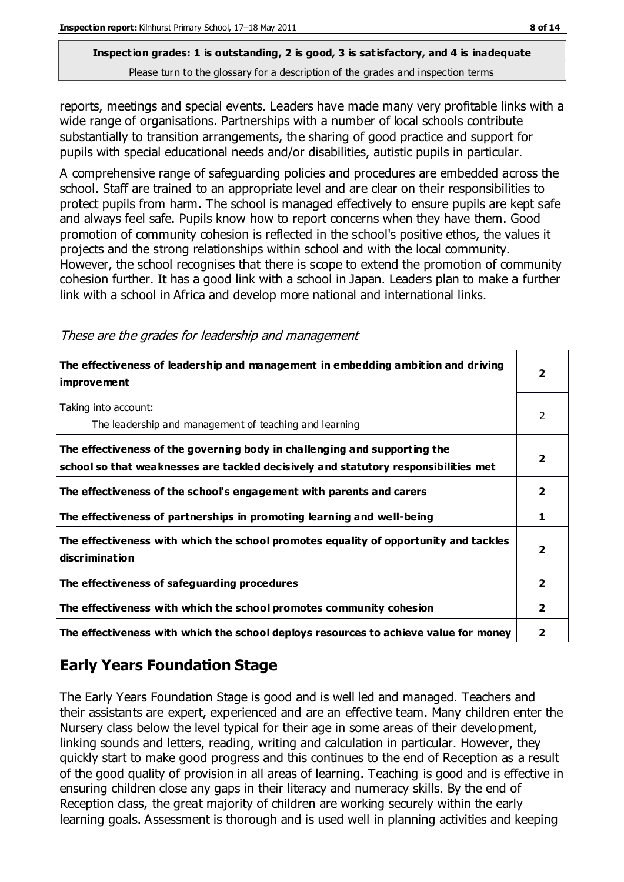reports, meetings and special events. Leaders have made many very profitable links with a wide range of organisations. Partnerships with a number of local schools contribute substantially to transition arrangements, the sharing of good practice and support for pupils with special educational needs and/or disabilities, autistic pupils in particular.

A comprehensive range of safeguarding policies and procedures are embedded across the school. Staff are trained to an appropriate level and are clear on their responsibilities to protect pupils from harm. The school is managed effectively to ensure pupils are kept safe and always feel safe. Pupils know how to report concerns when they have them. Good promotion of community cohesion is reflected in the school's positive ethos, the values it projects and the strong relationships within school and with the local community. However, the school recognises that there is scope to extend the promotion of community cohesion further. It has a good link with a school in Japan. Leaders plan to make a further link with a school in Africa and develop more national and international links.

These are the grades for leadership and management

| The effectiveness of leadership and management in embedding ambition and driving<br><i>improvement</i>                                                           | $\overline{\mathbf{2}}$ |
|------------------------------------------------------------------------------------------------------------------------------------------------------------------|-------------------------|
| Taking into account:<br>The leadership and management of teaching and learning                                                                                   | 2                       |
| The effectiveness of the governing body in challenging and supporting the<br>school so that weaknesses are tackled decisively and statutory responsibilities met | $\overline{2}$          |
| The effectiveness of the school's engagement with parents and carers                                                                                             | $\mathbf{2}$            |
| The effectiveness of partnerships in promoting learning and well-being                                                                                           | 1                       |
| The effectiveness with which the school promotes equality of opportunity and tackles<br>discrimination                                                           | $\overline{\mathbf{2}}$ |
| The effectiveness of safeguarding procedures                                                                                                                     | $\overline{2}$          |
| The effectiveness with which the school promotes community cohesion                                                                                              | $\mathbf{2}$            |
| The effectiveness with which the school deploys resources to achieve value for money                                                                             | 2                       |

# **Early Years Foundation Stage**

The Early Years Foundation Stage is good and is well led and managed. Teachers and their assistants are expert, experienced and are an effective team. Many children enter the Nursery class below the level typical for their age in some areas of their development, linking sounds and letters, reading, writing and calculation in particular. However, they quickly start to make good progress and this continues to the end of Reception as a result of the good quality of provision in all areas of learning. Teaching is good and is effective in ensuring children close any gaps in their literacy and numeracy skills. By the end of Reception class, the great majority of children are working securely within the early learning goals. Assessment is thorough and is used well in planning activities and keeping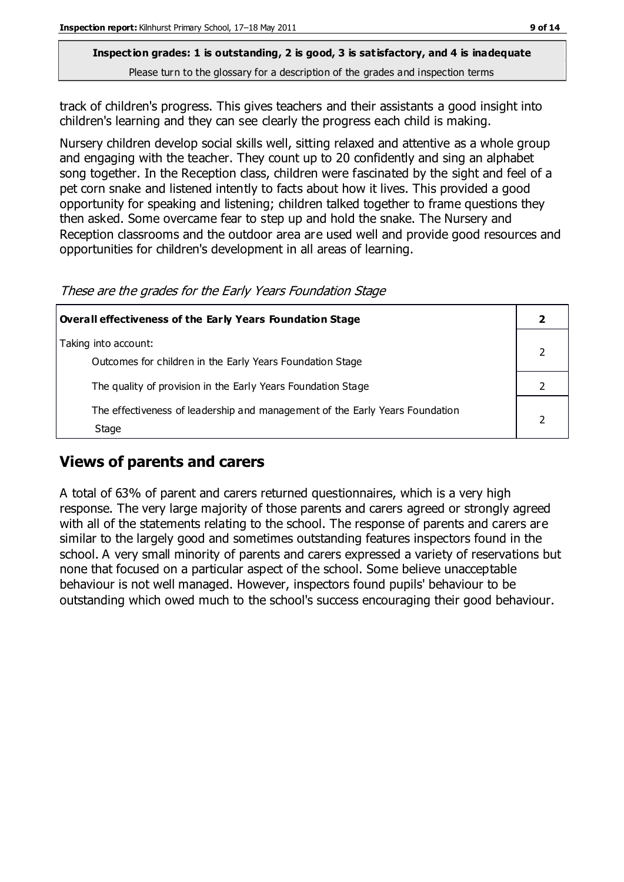track of children's progress. This gives teachers and their assistants a good insight into children's learning and they can see clearly the progress each child is making.

Nursery children develop social skills well, sitting relaxed and attentive as a whole group and engaging with the teacher. They count up to 20 confidently and sing an alphabet song together. In the Reception class, children were fascinated by the sight and feel of a pet corn snake and listened intently to facts about how it lives. This provided a good opportunity for speaking and listening; children talked together to frame questions they then asked. Some overcame fear to step up and hold the snake. The Nursery and Reception classrooms and the outdoor area are used well and provide good resources and opportunities for children's development in all areas of learning.

These are the grades for the Early Years Foundation Stage

| <b>Overall effectiveness of the Early Years Foundation Stage</b>                                                          |  |
|---------------------------------------------------------------------------------------------------------------------------|--|
| Taking into account:                                                                                                      |  |
| Outcomes for children in the Early Years Foundation Stage<br>The quality of provision in the Early Years Foundation Stage |  |
| The effectiveness of leadership and management of the Early Years Foundation<br>Stage                                     |  |

#### **Views of parents and carers**

A total of 63% of parent and carers returned questionnaires, which is a very high response. The very large majority of those parents and carers agreed or strongly agreed with all of the statements relating to the school. The response of parents and carers are similar to the largely good and sometimes outstanding features inspectors found in the school. A very small minority of parents and carers expressed a variety of reservations but none that focused on a particular aspect of the school. Some believe unacceptable behaviour is not well managed. However, inspectors found pupils' behaviour to be outstanding which owed much to the school's success encouraging their good behaviour.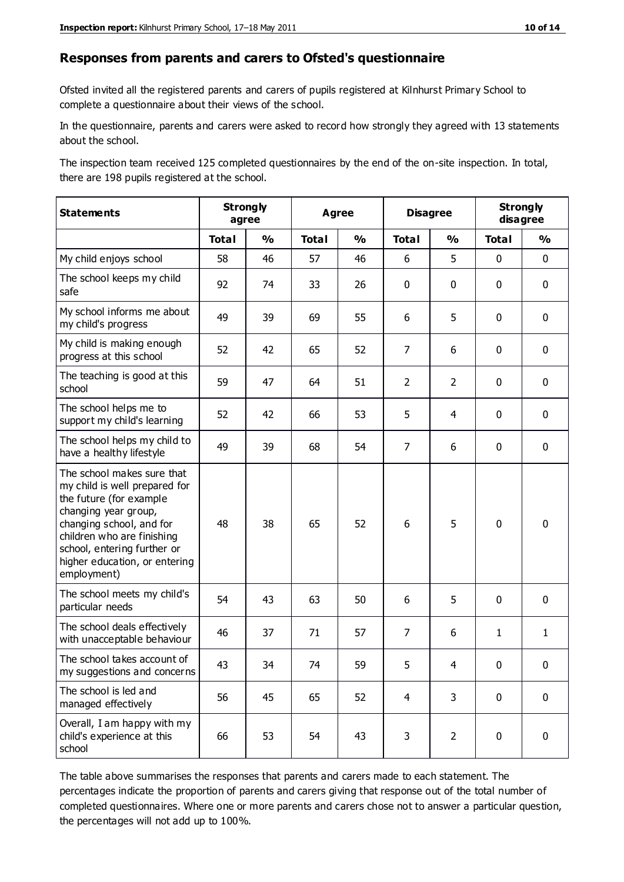#### **Responses from parents and carers to Ofsted's questionnaire**

Ofsted invited all the registered parents and carers of pupils registered at Kilnhurst Primary School to complete a questionnaire about their views of the school.

In the questionnaire, parents and carers were asked to record how strongly they agreed with 13 statements about the school.

The inspection team received 125 completed questionnaires by the end of the on-site inspection. In total, there are 198 pupils registered at the school.

| <b>Statements</b>                                                                                                                                                                                                                                       | <b>Strongly</b><br>agree |               | <b>Agree</b> |               | <b>Disagree</b> |                | <b>Strongly</b><br>disagree |               |
|---------------------------------------------------------------------------------------------------------------------------------------------------------------------------------------------------------------------------------------------------------|--------------------------|---------------|--------------|---------------|-----------------|----------------|-----------------------------|---------------|
|                                                                                                                                                                                                                                                         | <b>Total</b>             | $\frac{1}{2}$ | <b>Total</b> | $\frac{0}{0}$ | <b>Total</b>    | $\frac{0}{0}$  | <b>Total</b>                | $\frac{0}{0}$ |
| My child enjoys school                                                                                                                                                                                                                                  | 58                       | 46            | 57           | 46            | 6               | 5              | $\mathbf 0$                 | $\mathbf 0$   |
| The school keeps my child<br>safe                                                                                                                                                                                                                       | 92                       | 74            | 33           | 26            | 0               | $\mathbf 0$    | $\mathbf 0$                 | $\mathbf 0$   |
| My school informs me about<br>my child's progress                                                                                                                                                                                                       | 49                       | 39            | 69           | 55            | 6               | 5              | $\mathbf 0$                 | $\mathbf 0$   |
| My child is making enough<br>progress at this school                                                                                                                                                                                                    | 52                       | 42            | 65           | 52            | $\overline{7}$  | 6              | $\mathbf 0$                 | $\mathbf 0$   |
| The teaching is good at this<br>school                                                                                                                                                                                                                  | 59                       | 47            | 64           | 51            | $\overline{2}$  | $\overline{2}$ | $\mathbf 0$                 | $\mathbf 0$   |
| The school helps me to<br>support my child's learning                                                                                                                                                                                                   | 52                       | 42            | 66           | 53            | 5               | 4              | $\mathbf 0$                 | $\mathbf 0$   |
| The school helps my child to<br>have a healthy lifestyle                                                                                                                                                                                                | 49                       | 39            | 68           | 54            | $\overline{7}$  | 6              | $\mathbf 0$                 | $\mathbf 0$   |
| The school makes sure that<br>my child is well prepared for<br>the future (for example<br>changing year group,<br>changing school, and for<br>children who are finishing<br>school, entering further or<br>higher education, or entering<br>employment) | 48                       | 38            | 65           | 52            | 6               | 5              | $\mathbf 0$                 | $\mathbf 0$   |
| The school meets my child's<br>particular needs                                                                                                                                                                                                         | 54                       | 43            | 63           | 50            | 6               | 5              | $\mathbf 0$                 | $\mathbf 0$   |
| The school deals effectively<br>with unacceptable behaviour                                                                                                                                                                                             | 46                       | 37            | 71           | 57            | $\overline{7}$  | 6              | $\mathbf{1}$                | $\mathbf{1}$  |
| The school takes account of<br>my suggestions and concerns                                                                                                                                                                                              | 43                       | 34            | 74           | 59            | 5               | 4              | $\Omega$                    | 0             |
| The school is led and<br>managed effectively                                                                                                                                                                                                            | 56                       | 45            | 65           | 52            | $\overline{4}$  | 3              | $\mathbf 0$                 | $\mathbf 0$   |
| Overall, I am happy with my<br>child's experience at this<br>school                                                                                                                                                                                     | 66                       | 53            | 54           | 43            | 3               | $\overline{2}$ | $\mathbf 0$                 | $\mathbf 0$   |

The table above summarises the responses that parents and carers made to each statement. The percentages indicate the proportion of parents and carers giving that response out of the total number of completed questionnaires. Where one or more parents and carers chose not to answer a particular question, the percentages will not add up to 100%.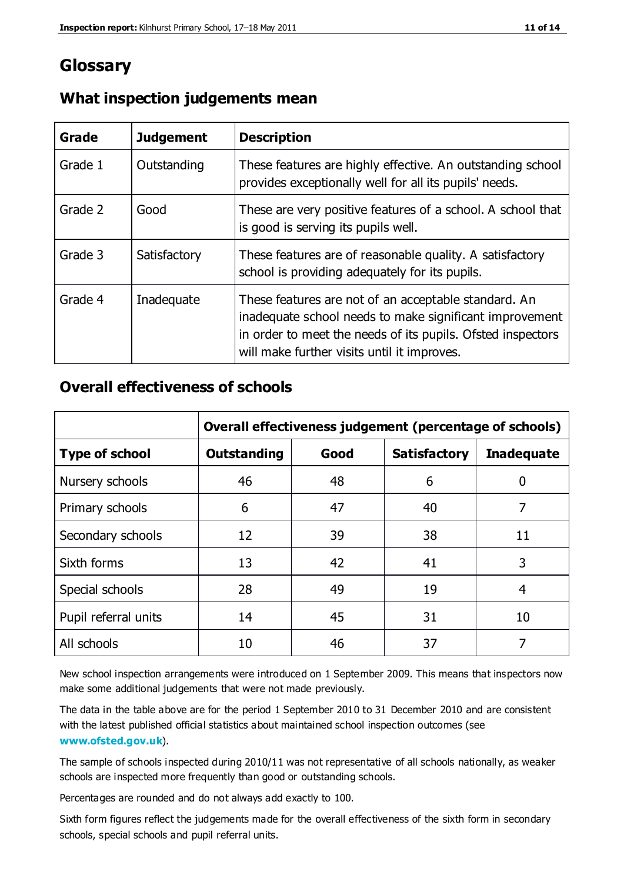# **Glossary**

| Grade   | <b>Judgement</b> | <b>Description</b>                                                                                                                                                                                                            |
|---------|------------------|-------------------------------------------------------------------------------------------------------------------------------------------------------------------------------------------------------------------------------|
| Grade 1 | Outstanding      | These features are highly effective. An outstanding school<br>provides exceptionally well for all its pupils' needs.                                                                                                          |
| Grade 2 | Good             | These are very positive features of a school. A school that<br>is good is serving its pupils well.                                                                                                                            |
| Grade 3 | Satisfactory     | These features are of reasonable quality. A satisfactory<br>school is providing adequately for its pupils.                                                                                                                    |
| Grade 4 | Inadequate       | These features are not of an acceptable standard. An<br>inadequate school needs to make significant improvement<br>in order to meet the needs of its pupils. Ofsted inspectors<br>will make further visits until it improves. |

#### **What inspection judgements mean**

#### **Overall effectiveness of schools**

|                       | Overall effectiveness judgement (percentage of schools) |      |                     |                   |
|-----------------------|---------------------------------------------------------|------|---------------------|-------------------|
| <b>Type of school</b> | <b>Outstanding</b>                                      | Good | <b>Satisfactory</b> | <b>Inadequate</b> |
| Nursery schools       | 46                                                      | 48   | 6                   |                   |
| Primary schools       | 6                                                       | 47   | 40                  | 7                 |
| Secondary schools     | 12                                                      | 39   | 38                  | 11                |
| Sixth forms           | 13                                                      | 42   | 41                  | 3                 |
| Special schools       | 28                                                      | 49   | 19                  | 4                 |
| Pupil referral units  | 14                                                      | 45   | 31                  | 10                |
| All schools           | 10                                                      | 46   | 37                  |                   |

New school inspection arrangements were introduced on 1 September 2009. This means that inspectors now make some additional judgements that were not made previously.

The data in the table above are for the period 1 September 2010 to 31 December 2010 and are consistent with the latest published official statistics about maintained school inspection outcomes (see **[www.ofsted.gov.uk](http://www.ofsted.gov.uk/)**).

The sample of schools inspected during 2010/11 was not representative of all schools nationally, as weaker schools are inspected more frequently than good or outstanding schools.

Percentages are rounded and do not always add exactly to 100.

Sixth form figures reflect the judgements made for the overall effectiveness of the sixth form in secondary schools, special schools and pupil referral units.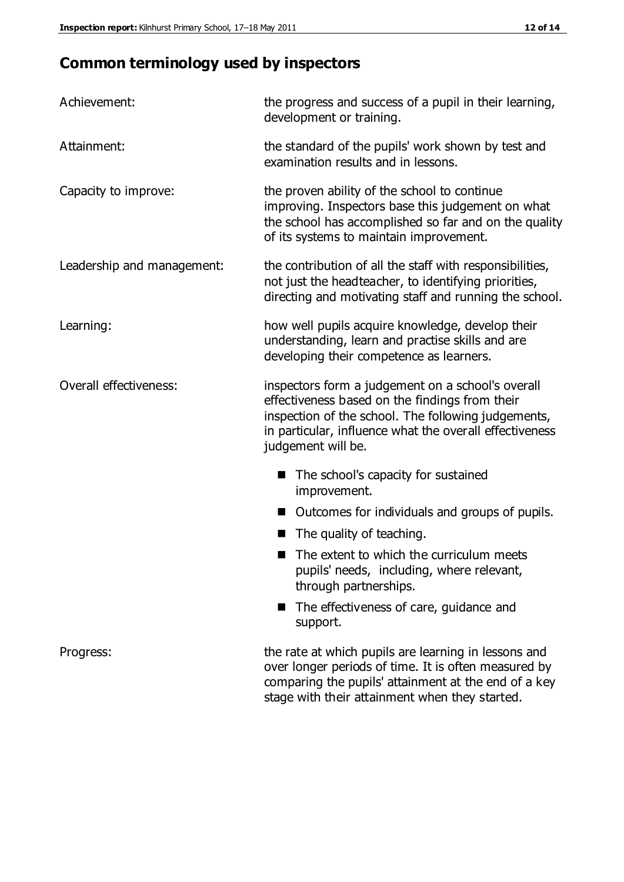# **Common terminology used by inspectors**

| Achievement:               | the progress and success of a pupil in their learning,<br>development or training.                                                                                                                                                          |  |  |
|----------------------------|---------------------------------------------------------------------------------------------------------------------------------------------------------------------------------------------------------------------------------------------|--|--|
| Attainment:                | the standard of the pupils' work shown by test and<br>examination results and in lessons.                                                                                                                                                   |  |  |
| Capacity to improve:       | the proven ability of the school to continue<br>improving. Inspectors base this judgement on what<br>the school has accomplished so far and on the quality<br>of its systems to maintain improvement.                                       |  |  |
| Leadership and management: | the contribution of all the staff with responsibilities,<br>not just the headteacher, to identifying priorities,<br>directing and motivating staff and running the school.                                                                  |  |  |
| Learning:                  | how well pupils acquire knowledge, develop their<br>understanding, learn and practise skills and are<br>developing their competence as learners.                                                                                            |  |  |
| Overall effectiveness:     | inspectors form a judgement on a school's overall<br>effectiveness based on the findings from their<br>inspection of the school. The following judgements,<br>in particular, influence what the overall effectiveness<br>judgement will be. |  |  |
|                            | The school's capacity for sustained<br>improvement.                                                                                                                                                                                         |  |  |
|                            | Outcomes for individuals and groups of pupils.                                                                                                                                                                                              |  |  |
|                            | The quality of teaching.                                                                                                                                                                                                                    |  |  |
|                            | The extent to which the curriculum meets<br>pupils' needs, including, where relevant,<br>through partnerships.                                                                                                                              |  |  |
|                            | The effectiveness of care, guidance and<br>support.                                                                                                                                                                                         |  |  |
| Progress:                  | the rate at which pupils are learning in lessons and<br>over longer periods of time. It is often measured by<br>comparing the pupils' attainment at the end of a key                                                                        |  |  |

stage with their attainment when they started.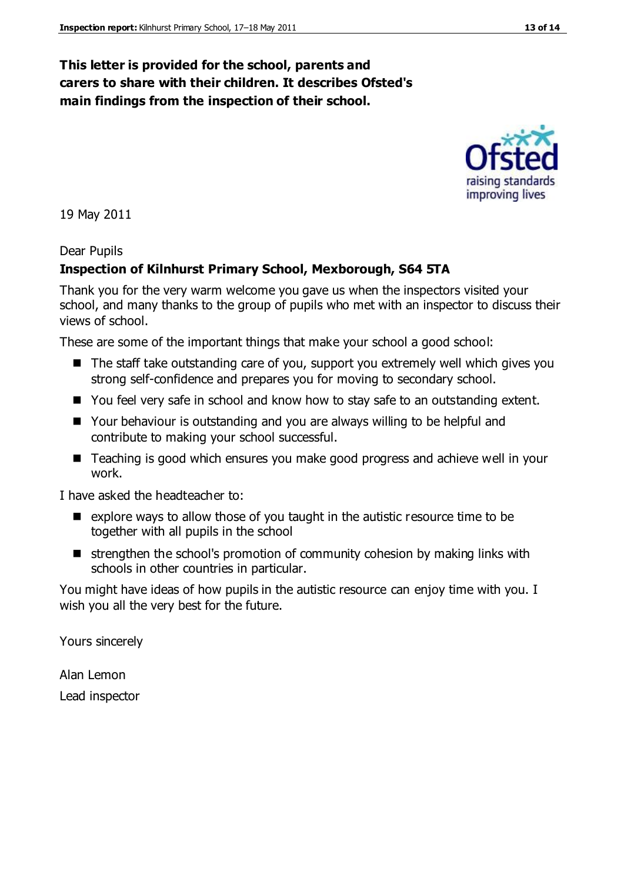# **This letter is provided for the school, parents and carers to share with their children. It describes Ofsted's main findings from the inspection of their school.**

19 May 2011

#### Dear Pupils

# **Inspection of Kilnhurst Primary School, Mexborough, S64 5TA**

Thank you for the very warm welcome you gave us when the inspectors visited your school, and many thanks to the group of pupils who met with an inspector to discuss their views of school.

These are some of the important things that make your school a good school:

- The staff take outstanding care of you, support you extremely well which gives you strong self-confidence and prepares you for moving to secondary school.
- You feel very safe in school and know how to stay safe to an outstanding extent.
- Your behaviour is outstanding and you are always willing to be helpful and contribute to making your school successful.
- Teaching is good which ensures you make good progress and achieve well in your work.

I have asked the headteacher to:

- $\blacksquare$  explore ways to allow those of you taught in the autistic resource time to be together with all pupils in the school
- strengthen the school's promotion of community cohesion by making links with schools in other countries in particular.

You might have ideas of how pupils in the autistic resource can enjoy time with you. I wish you all the very best for the future.

Yours sincerely

Alan Lemon Lead inspector